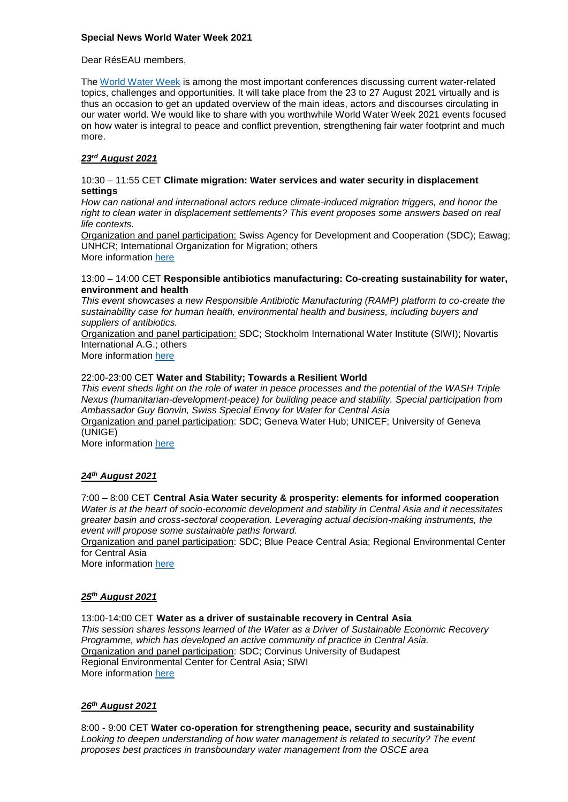### **Special News World Water Week 2021**

### Dear RésEAU members,

The [World Water Week](https://www.worldwaterweek.org/event/9633-wash-road-map-2025) is among the most important conferences discussing current water-related topics, challenges and opportunities. It will take place from the 23 to 27 August 2021 virtually and is thus an occasion to get an updated overview of the main ideas, actors and discourses circulating in our water world. We would like to share with you worthwhile World Water Week 2021 events focused on how water is integral to peace and conflict prevention, strengthening fair water footprint and much more.

# *23rd August 2021*

#### 10:30 – 11:55 CET **Climate migration: Water services and water security in displacement settings**

*How can national and international actors reduce climate-induced migration triggers, and honor the right to clean water in displacement settlements? This event proposes some answers based on real life contexts.* 

Organization and panel participation: Swiss Agency for Development and Cooperation (SDC); Eawag; UNHCR; International Organization for Migration; others More information [here](https://www.worldwaterweek.org/event/9555-climate-migration-water-services-and-water-security-in-displacement-settings)

13:00 – 14:00 CET **Responsible antibiotics manufacturing: Co-creating sustainability for water, environment and health** 

*This event showcases a new Responsible Antibiotic Manufacturing (RAMP) platform to co-create the sustainability case for human health, environmental health and business, including buyers and suppliers of antibiotics.*

Organization and panel participation: SDC; Stockholm International Water Institute (SIWI); Novartis International A.G.; others

More information [here](https://www.worldwaterweek.org/event/9568-responsible-antibiotics-manufacturing-co-creating-sustainability-for-water-environment-and-health)

### 22:00-23:00 CET **Water and Stability; Towards a Resilient World**

*This event sheds light on the role of water in peace processes and the potential of the WASH Triple Nexus (humanitarian-development-peace) for building peace and stability. Special participation from Ambassador Guy Bonvin, Swiss Special Envoy for Water for Central Asia*

Organization and panel participation: SDC; Geneva Water Hub; UNICEF; University of Geneva (UNIGE)

More information [here](https://www.worldwaterweek.org/event/9748-water-and-stability-towards-a-resilient-world)

# *24 th August 2021*

# 7:00 – 8:00 CET **Central Asia Water security & prosperity: elements for informed cooperation**

*Water is at the heart of socio-economic development and stability in Central Asia and it necessitates greater basin and cross-sectoral cooperation. Leveraging actual decision-making instruments, the event will propose some sustainable paths forward.* 

Organization and panel participation: SDC; Blue Peace Central Asia; Regional Environmental Center for Central Asia

More information [here](https://www.worldwaterweek.org/event/9785-central-asia-water-security-prosperity-elements-for-informed-cooperation)

#### *25th August 2021*

13:00-14:00 CET **Water as a driver of sustainable recovery in Central Asia** *This session shares lessons learned of the Water as a Driver of Sustainable Economic Recovery Programme, which has developed an active community of practice in Central Asia.* Organization and panel participation: SDC; Corvinus University of Budapest Regional Environmental Center for Central Asia; SIWI More information [here](https://www.worldwaterweek.org/event/9947-water-as-a-driver-of-sustainable-recovery-in-central-asia)

# *26 th August 2021*

8:00 - 9:00 CET **Water co-operation for strengthening peace, security and sustainability** *Looking to deepen understanding of how water management is related to security? The event proposes best practices in transboundary water management from the OSCE area*